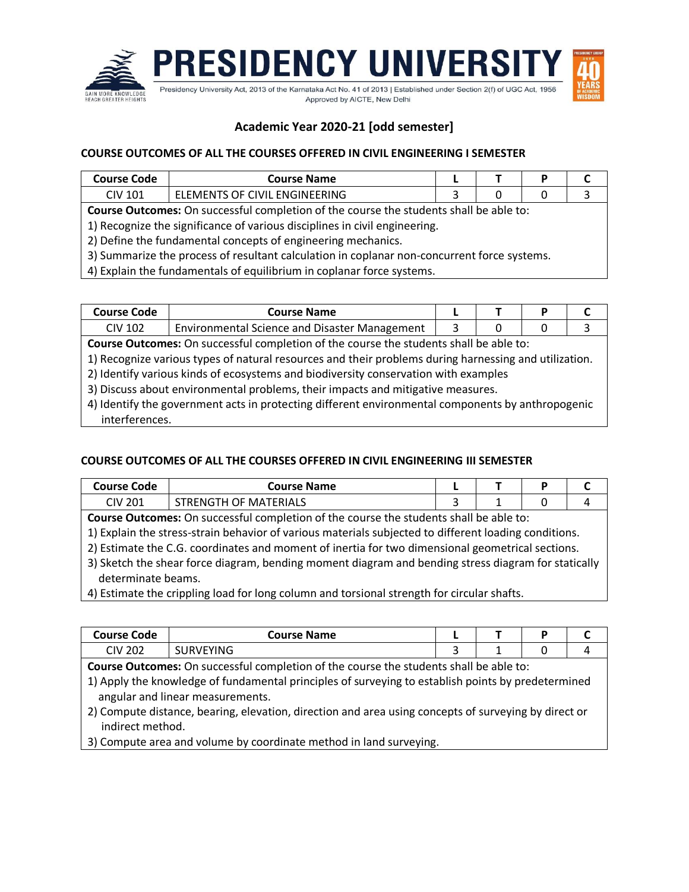

# **Academic Year 2020-21 [odd semester]**

### **COURSE OUTCOMES OF ALL THE COURSES OFFERED IN CIVIL ENGINEERING I SEMESTER**

| Course Code | Course Name                                    |   |   |  |
|-------------|------------------------------------------------|---|---|--|
| CIV 101     | <b>FNGINFFRING</b><br><b>ELEMENTS OF CIVIL</b> |   |   |  |
|             | .                                              | . | . |  |

**Course Outcomes:** On successful completion of the course the students shall be able to:

1) Recognize the significance of various disciplines in civil engineering.

2) Define the fundamental concepts of engineering mechanics.

3) Summarize the process of resultant calculation in coplanar non-concurrent force systems.

4) Explain the fundamentals of equilibrium in coplanar force systems.

| <b>Course Code</b> | Course Name                                   |  |  |
|--------------------|-----------------------------------------------|--|--|
| CIV 102            | Environmental Science and Disaster Management |  |  |
| -                  |                                               |  |  |

**Course Outcomes:** On successful completion of the course the students shall be able to:

1) Recognize various types of natural resources and their problems during harnessing and utilization.

2) Identify various kinds of ecosystems and biodiversity conservation with examples

3) Discuss about environmental problems, their impacts and mitigative measures.

4) Identify the government acts in protecting different environmental components by anthropogenic interferences.

## **COURSE OUTCOMES OF ALL THE COURSES OFFERED IN CIVIL ENGINEERING III SEMESTER**

| <b>Course Code</b>                                                                                  | <b>Course Name</b>                                                                                    |  |  | P |   |  |  |  |
|-----------------------------------------------------------------------------------------------------|-------------------------------------------------------------------------------------------------------|--|--|---|---|--|--|--|
| <b>CIV 201</b>                                                                                      | STRENGTH OF MATERIALS                                                                                 |  |  |   | 4 |  |  |  |
| Course Outcomes: On successful completion of the course the students shall be able to:              |                                                                                                       |  |  |   |   |  |  |  |
|                                                                                                     | 1) Explain the stress-strain behavior of various materials subjected to different loading conditions. |  |  |   |   |  |  |  |
|                                                                                                     | 2) Estimate the C.G. coordinates and moment of inertia for two dimensional geometrical sections.      |  |  |   |   |  |  |  |
| 3) Sketch the shear force diagram, bending moment diagram and bending stress diagram for statically |                                                                                                       |  |  |   |   |  |  |  |
|                                                                                                     |                                                                                                       |  |  |   |   |  |  |  |

 determinate beams. 4) Estimate the crippling load for long column and torsional strength for circular shafts.

| Course Code    | <b>Course Name</b> |  |  |
|----------------|--------------------|--|--|
| CIV 202<br>zuz | URVEYING           |  |  |

**Course Outcomes:** On successful completion of the course the students shall be able to:

1) Apply the knowledge of fundamental principles of surveying to establish points by predetermined angular and linear measurements.

2) Compute distance, bearing, elevation, direction and area using concepts of surveying by direct or indirect method.

3) Compute area and volume by coordinate method in land surveying.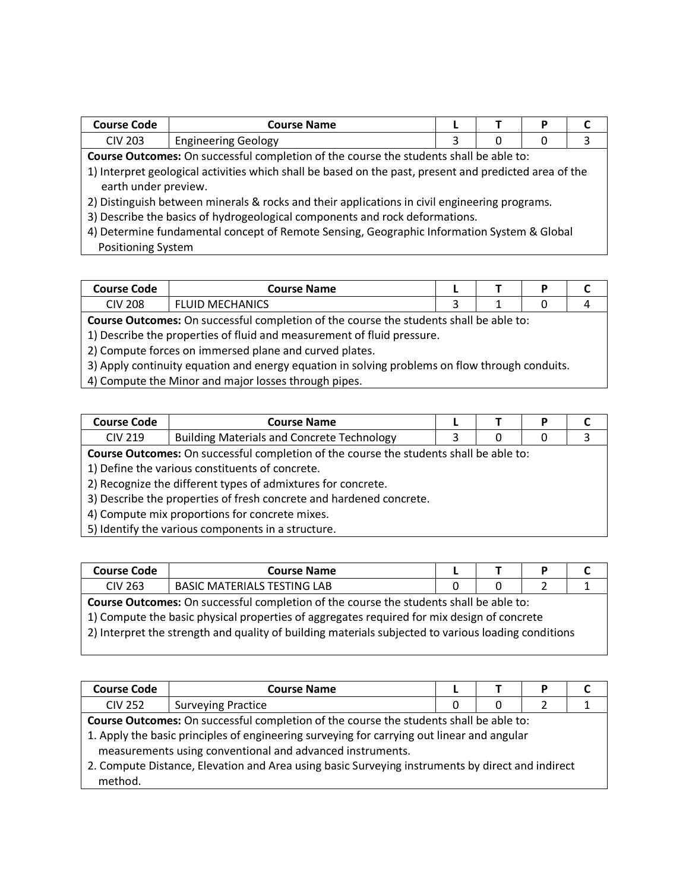| Course Code | <b>Course Name</b>       |  | D |  |
|-------------|--------------------------|--|---|--|
| CIV 203     | . Geology<br>Engineering |  |   |  |

**Course Outcomes:** On successful completion of the course the students shall be able to:

1) Interpret geological activities which shall be based on the past, present and predicted area of the earth under preview.

2) Distinguish between minerals & rocks and their applications in civil engineering programs.

3) Describe the basics of hydrogeological components and rock deformations.

4) Determine fundamental concept of Remote Sensing, Geographic Information System & Global Positioning System

| Course Code    | Course Name       |   | D |  |
|----------------|-------------------|---|---|--|
| <b>CIV 208</b> | MECHANICS<br>LUID | - |   |  |

**Course Outcomes:** On successful completion of the course the students shall be able to:

1) Describe the properties of fluid and measurement of fluid pressure.

2) Compute forces on immersed plane and curved plates.

3) Apply continuity equation and energy equation in solving problems on flow through conduits.

4) Compute the Minor and major losses through pipes.

| Course Code | <b>Course Name</b>                                |  |  |
|-------------|---------------------------------------------------|--|--|
| $CIV$ 219   | <b>Building Materials and Concrete Technology</b> |  |  |

**Course Outcomes:** On successful completion of the course the students shall be able to:

1) Define the various constituents of concrete.

2) Recognize the different types of admixtures for concrete.

3) Describe the properties of fresh concrete and hardened concrete.

4) Compute mix proportions for concrete mixes.

5) Identify the various components in a structure.

| <b>Course Code</b> | <b>Course Name</b>                                                                                                                                                                                                                                                                          |   | D |  |
|--------------------|---------------------------------------------------------------------------------------------------------------------------------------------------------------------------------------------------------------------------------------------------------------------------------------------|---|---|--|
| <b>CIV 263</b>     | <b>BASIC MATERIALS TESTING LAB</b>                                                                                                                                                                                                                                                          | 0 |   |  |
|                    | Course Outcomes: On successful completion of the course the students shall be able to:<br>1) Compute the basic physical properties of aggregates required for mix design of concrete<br>2) Interpret the strength and quality of building materials subjected to various loading conditions |   |   |  |

| <b>Course Code</b> | <b>Course Name</b>                                                                                                                                                                                                                                                                                                                                    |   | P |  |
|--------------------|-------------------------------------------------------------------------------------------------------------------------------------------------------------------------------------------------------------------------------------------------------------------------------------------------------------------------------------------------------|---|---|--|
| <b>CIV 252</b>     | <b>Surveying Practice</b>                                                                                                                                                                                                                                                                                                                             | Ω |   |  |
| method.            | Course Outcomes: On successful completion of the course the students shall be able to:<br>1. Apply the basic principles of engineering surveying for carrying out linear and angular<br>measurements using conventional and advanced instruments.<br>2. Compute Distance, Elevation and Area using basic Surveying instruments by direct and indirect |   |   |  |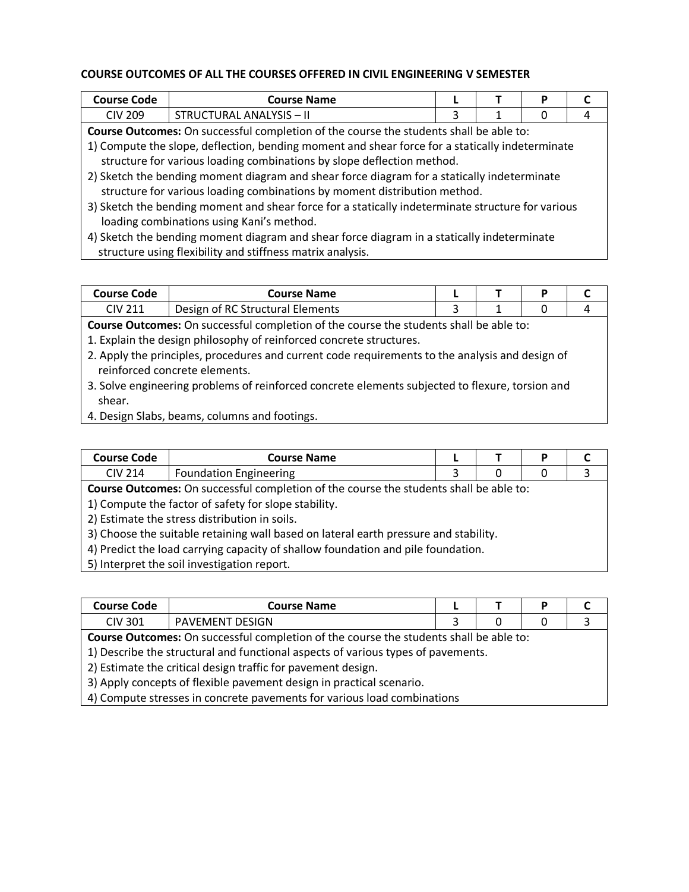#### **COURSE OUTCOMES OF ALL THE COURSES OFFERED IN CIVIL ENGINEERING V SEMESTER**

| <b>Course Code</b>                                                                     | <b>Course Name</b>                                                                              |  |  | P |  |  |  |
|----------------------------------------------------------------------------------------|-------------------------------------------------------------------------------------------------|--|--|---|--|--|--|
| <b>CIV 209</b>                                                                         | <b>STRUCTURAL ANALYSIS - II</b>                                                                 |  |  | 0 |  |  |  |
| Course Outcomes: On successful completion of the course the students shall be able to: |                                                                                                 |  |  |   |  |  |  |
|                                                                                        | 1) Compute the slope, deflection, bending moment and shear force for a statically indeterminate |  |  |   |  |  |  |
|                                                                                        | structure for various loading combinations by slope deflection method.                          |  |  |   |  |  |  |
|                                                                                        | 2) Sketch the bending moment diagram and shear force diagram for a statically indeterminate     |  |  |   |  |  |  |
|                                                                                        | structure for various loading combinations by moment distribution method.                       |  |  |   |  |  |  |

- 3) Sketch the bending moment and shear force for a statically indeterminate structure for various loading combinations using Kani's method.
- 4) Sketch the bending moment diagram and shear force diagram in a statically indeterminate structure using flexibility and stiffness matrix analysis.

| Course Code | <b>Course Name</b>                     |   |  |
|-------------|----------------------------------------|---|--|
| CIV 211     | of RC Structural Elements<br>Design of | - |  |
|             |                                        |   |  |

**Course Outcomes:** On successful completion of the course the students shall be able to: 1. Explain the design philosophy of reinforced concrete structures.

- 2. Apply the principles, procedures and current code requirements to the analysis and design of reinforced concrete elements.
- 3. Solve engineering problems of reinforced concrete elements subjected to flexure, torsion and shear.
- 4. Design Slabs, beams, columns and footings.

| Course Code    | Course Name                   |  |  |
|----------------|-------------------------------|--|--|
| <b>CIV 214</b> | <b>Foundation Engineering</b> |  |  |

**Course Outcomes:** On successful completion of the course the students shall be able to:

1) Compute the factor of safety for slope stability.

2) Estimate the stress distribution in soils.

3) Choose the suitable retaining wall based on lateral earth pressure and stability.

4) Predict the load carrying capacity of shallow foundation and pile foundation.

5) Interpret the soil investigation report.

| <b>Course Code</b>                                                                                                                                                                                                                                                                                     | <b>Course Name</b>     |  |  |  |  |
|--------------------------------------------------------------------------------------------------------------------------------------------------------------------------------------------------------------------------------------------------------------------------------------------------------|------------------------|--|--|--|--|
| CIV 301                                                                                                                                                                                                                                                                                                | <b>PAVEMENT DESIGN</b> |  |  |  |  |
| and the company of the company of the collection of the first property of the collection of the collection of the collection of the collection of the collection of the collection of the collection of the collection of the<br>$\sim$ C $\sim$ L $\sim$<br>$\sim$ $\sim$ $\sim$ $\sim$ $\sim$ $\sim$ |                        |  |  |  |  |

**Course Outcomes:** On successful completion of the course the students shall be able to:

1) Describe the structural and functional aspects of various types of pavements.

2) Estimate the critical design traffic for pavement design.

3) Apply concepts of flexible pavement design in practical scenario.

4) Compute stresses in concrete pavements for various load combinations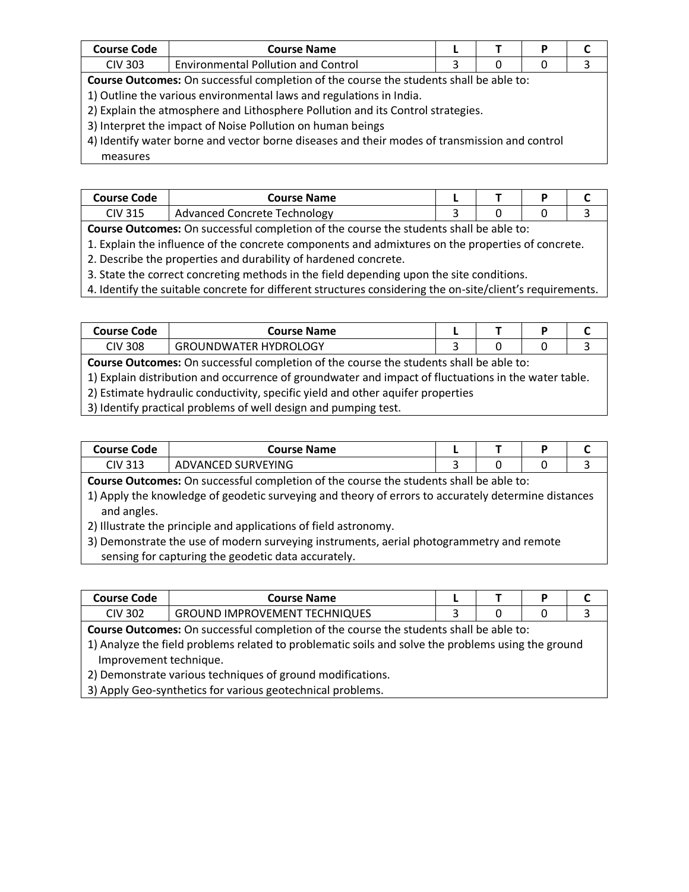| <b>Course Code</b>                                                                            | <b>Course Name</b>                                                                     |   |   | P |  |  |  |
|-----------------------------------------------------------------------------------------------|----------------------------------------------------------------------------------------|---|---|---|--|--|--|
| <b>CIV 303</b>                                                                                | <b>Environmental Pollution and Control</b>                                             | 3 | 0 | 0 |  |  |  |
|                                                                                               | Course Outcomes: On successful completion of the course the students shall be able to: |   |   |   |  |  |  |
|                                                                                               | 1) Outline the various environmental laws and regulations in India.                    |   |   |   |  |  |  |
|                                                                                               | 2) Explain the atmosphere and Lithosphere Pollution and its Control strategies.        |   |   |   |  |  |  |
|                                                                                               | 3) Interpret the impact of Noise Pollution on human beings                             |   |   |   |  |  |  |
| 4) Identify water borne and vector borne diseases and their modes of transmission and control |                                                                                        |   |   |   |  |  |  |
| measures                                                                                      |                                                                                        |   |   |   |  |  |  |

| Course Code | Course Name                  |   |  |  |
|-------------|------------------------------|---|--|--|
| CIV 315     | Advanced Concrete Technology |   |  |  |
|             |                              | . |  |  |

**Course Outcomes:** On successful completion of the course the students shall be able to:

1. Explain the influence of the concrete components and admixtures on the properties of concrete.

2. Describe the properties and durability of hardened concrete.

3. State the correct concreting methods in the field depending upon the site conditions.

4. Identify the suitable concrete for different structures considering the on-site/client's requirements.

| <b>Course Code</b>                                                                                   | <b>Course Name</b>                                                                            |  |  |  |  |  |  |  |
|------------------------------------------------------------------------------------------------------|-----------------------------------------------------------------------------------------------|--|--|--|--|--|--|--|
| <b>CIV 308</b>                                                                                       | <b>GROUNDWATER HYDROLOGY</b>                                                                  |  |  |  |  |  |  |  |
|                                                                                                      | <b>Course Outcomes:</b> On successful completion of the course the students shall be able to: |  |  |  |  |  |  |  |
| 1) Explain distribution and occurrence of groundwater and impact of fluctuations in the water table. |                                                                                               |  |  |  |  |  |  |  |
| 2) Estimate hydraulic conductivity, specific yield and other aquifer properties                      |                                                                                               |  |  |  |  |  |  |  |

3) Identify practical problems of well design and pumping test.

| Course Code | <b>Course Name</b>  |  |  |
|-------------|---------------------|--|--|
| CIV 313     | ,URVEYING<br>ADVANC |  |  |

**Course Outcomes:** On successful completion of the course the students shall be able to:

1) Apply the knowledge of geodetic surveying and theory of errors to accurately determine distances and angles.

2) Illustrate the principle and applications of field astronomy.

3) Demonstrate the use of modern surveying instruments, aerial photogrammetry and remote sensing for capturing the geodetic data accurately.

| Course Code | Course Name                              |  | D |  |
|-------------|------------------------------------------|--|---|--|
| CIV 302     | CHNIQUES<br>GROUND<br>) IMPROVEMENT TECH |  |   |  |

**Course Outcomes:** On successful completion of the course the students shall be able to:

1) Analyze the field problems related to problematic soils and solve the problems using the ground Improvement technique.

2) Demonstrate various techniques of ground modifications.

3) Apply Geo-synthetics for various geotechnical problems.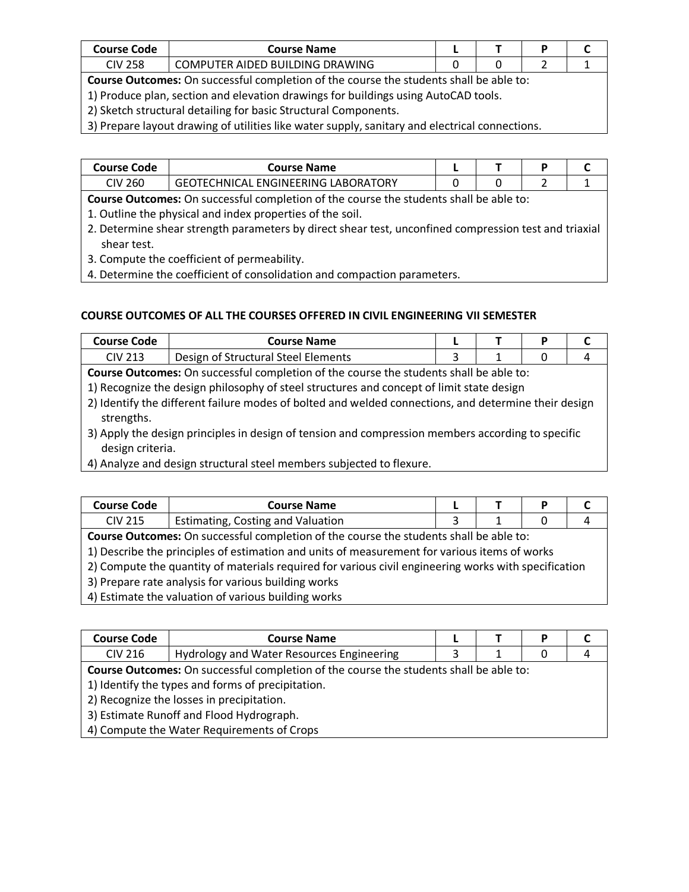| <b>Course Code</b> | <b>Course Name</b>                           |  |  |
|--------------------|----------------------------------------------|--|--|
| CIV 258            | TER AIDED BUILDING DRAWING<br><b>COMPLIT</b> |  |  |

**Course Outcomes:** On successful completion of the course the students shall be able to:

- 1) Produce plan, section and elevation drawings for buildings using AutoCAD tools.
- 2) Sketch structural detailing for basic Structural Components.

3) Prepare layout drawing of utilities like water supply, sanitary and electrical connections.

| <b>Course Code</b> | Course Name                                                                                   |  |  |
|--------------------|-----------------------------------------------------------------------------------------------|--|--|
| CIV 260            | <b>GEOTECHNICAL ENGINEERING LABORATORY</b>                                                    |  |  |
|                    | <b>Course Outcomes:</b> On successful completion of the course the students shall be able to: |  |  |

1. Outline the physical and index properties of the soil.

2. Determine shear strength parameters by direct shear test, unconfined compression test and triaxial shear test.

3. Compute the coefficient of permeability.

4. Determine the coefficient of consolidation and compaction parameters.

#### **COURSE OUTCOMES OF ALL THE COURSES OFFERED IN CIVIL ENGINEERING VII SEMESTER**

| <b>Course Code</b>                                                                                   | <b>Course Name</b>                                                                       |  |  | P |  |  |  |  |
|------------------------------------------------------------------------------------------------------|------------------------------------------------------------------------------------------|--|--|---|--|--|--|--|
| <b>CIV 213</b>                                                                                       | Design of Structural Steel Elements                                                      |  |  |   |  |  |  |  |
|                                                                                                      | Course Outcomes: On successful completion of the course the students shall be able to:   |  |  |   |  |  |  |  |
|                                                                                                      | 1) Recognize the design philosophy of steel structures and concept of limit state design |  |  |   |  |  |  |  |
| 2) Identify the different failure modes of bolted and welded connections, and determine their design |                                                                                          |  |  |   |  |  |  |  |
| strengths.                                                                                           |                                                                                          |  |  |   |  |  |  |  |

3) Apply the design principles in design of tension and compression members according to specific design criteria.

4) Analyze and design structural steel members subjected to flexure.

| <b>Course Code</b>                                  | <b>Course Name</b>                                                                                   |  |  | P |  |  |  |  |
|-----------------------------------------------------|------------------------------------------------------------------------------------------------------|--|--|---|--|--|--|--|
| <b>CIV 215</b>                                      | Estimating, Costing and Valuation                                                                    |  |  |   |  |  |  |  |
|                                                     | Course Outcomes: On successful completion of the course the students shall be able to:               |  |  |   |  |  |  |  |
|                                                     | 1) Describe the principles of estimation and units of measurement for various items of works         |  |  |   |  |  |  |  |
|                                                     | 2) Compute the quantity of materials required for various civil engineering works with specification |  |  |   |  |  |  |  |
| 3) Prepare rate analysis for various building works |                                                                                                      |  |  |   |  |  |  |  |
| 4) Estimate the valuation of various building works |                                                                                                      |  |  |   |  |  |  |  |

| <b>Course Code</b> | <b>Course Name</b>                                                                     |   |  | Р |  |  |  |
|--------------------|----------------------------------------------------------------------------------------|---|--|---|--|--|--|
| <b>CIV 216</b>     | Hydrology and Water Resources Engineering                                              | 3 |  | 0 |  |  |  |
|                    | Course Outcomes: On successful completion of the course the students shall be able to: |   |  |   |  |  |  |
|                    | 1) Identify the types and forms of precipitation.                                      |   |  |   |  |  |  |
|                    | 2) Recognize the losses in precipitation.                                              |   |  |   |  |  |  |
|                    | 3) Estimate Runoff and Flood Hydrograph.                                               |   |  |   |  |  |  |
|                    | 4) Compute the Water Requirements of Crops                                             |   |  |   |  |  |  |